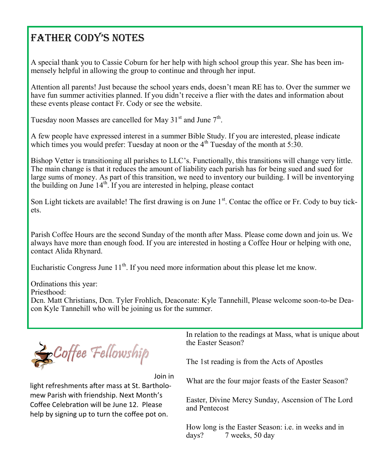## Father Cody's Notes

A special thank you to Cassie Coburn for her help with high school group this year. She has been immensely helpful in allowing the group to continue and through her input.

Attention all parents! Just because the school years ends, doesn't mean RE has to. Over the summer we have fun summer activities planned. If you didn't receive a flier with the dates and information about these events please contact Fr. Cody or see the website.

Tuesday noon Masses are cancelled for May 31 $^{\text{st}}$  and June  $7^{\text{th}}$ .

A few people have expressed interest in a summer Bible Study. If you are interested, please indicate which times you would prefer: Tuesday at noon or the  $4<sup>th</sup>$  Tuesday of the month at 5:30.

Bishop Vetter is transitioning all parishes to LLC's. Functionally, this transitions will change very little. The main change is that it reduces the amount of liability each parish has for being sued and sued for large sums of money. As part of this transition, we need to inventory our building. I will be inventorying the building on June  $14<sup>th</sup>$ . If you are interested in helping, please contact

Son Light tickets are available! The first drawing is on June 1<sup>st</sup>. Contac the office or Fr. Cody to buy tickets.

Parish Coffee Hours are the second Sunday of the month after Mass. Please come down and join us. We always have more than enough food. If you are interested in hosting a Coffee Hour or helping with one, contact Alida Rhynard.

Eucharistic Congress June  $11<sup>th</sup>$ . If you need more information about this please let me know.

Ordinations this year:

Priesthood:

Dcn. Matt Christians, Dcn. Tyler Frohlich, Deaconate: Kyle Tannehill, Please welcome soon-to-be Deacon Kyle Tannehill who will be joining us for the summer.



Join in

light refreshments after mass at St. Bartholomew Parish with friendship. Next Month's Coffee Celebration will be June 12. Please help by signing up to turn the coffee pot on.

In relation to the readings at Mass, what is unique about the Easter Season?

The 1st reading is from the Acts of Apostles

What are the four major feasts of the Easter Season?

Easter, Divine Mercy Sunday, Ascension of The Lord and Pentecost

How long is the Easter Season: i.e. in weeks and in days? 7 weeks, 50 day